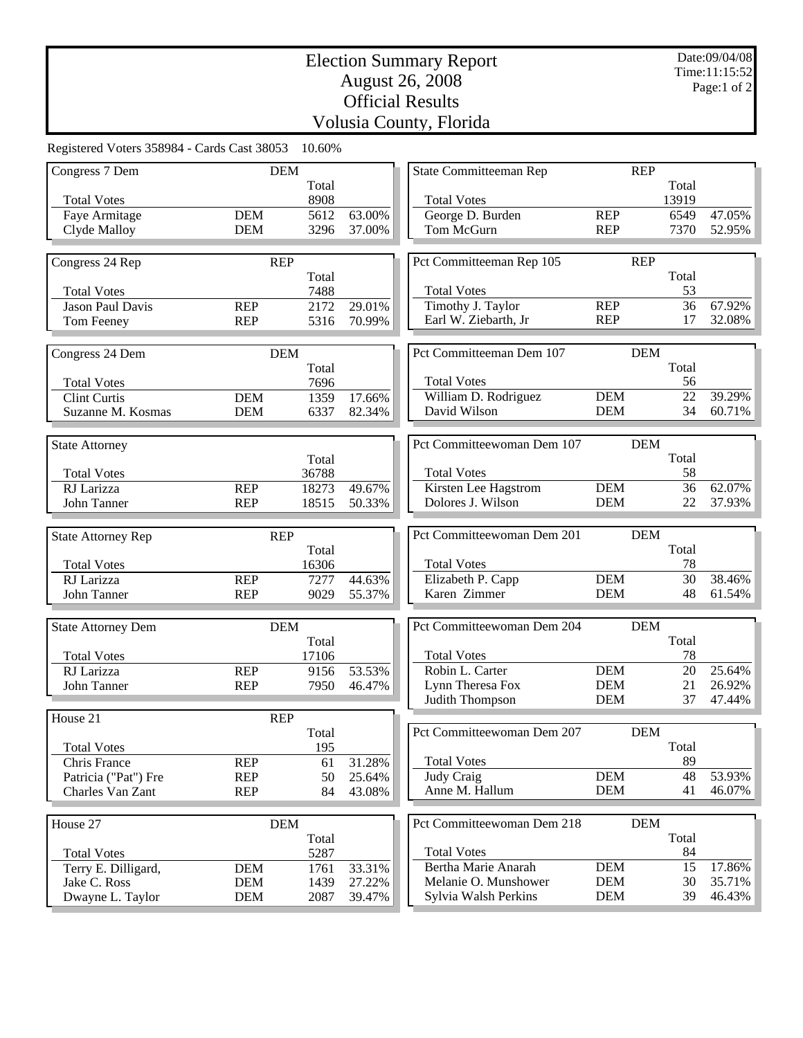## Election Summary Report August 26, 2008 Official Results Volusia County, Florida

| Registered Voters 358984 - Cards Cast 38053 |                          | 10.60%         |                  |                                             |                          |             |                  |
|---------------------------------------------|--------------------------|----------------|------------------|---------------------------------------------|--------------------------|-------------|------------------|
| Congress 7 Dem                              | <b>DEM</b>               |                |                  | <b>REP</b><br>State Committeeman Rep        |                          |             |                  |
|                                             |                          | Total          |                  |                                             |                          | Total       |                  |
| <b>Total Votes</b>                          |                          | 8908           |                  | <b>Total Votes</b>                          |                          | 13919       |                  |
| Faye Armitage                               | <b>DEM</b>               | 5612           | 63.00%           | George D. Burden                            | <b>REP</b>               | 6549        | 47.05%           |
| Clyde Malloy                                | <b>DEM</b>               | 3296           | 37.00%           | Tom McGurn                                  | <b>REP</b>               | 7370        | 52.95%           |
|                                             |                          |                |                  |                                             | <b>REP</b>               |             |                  |
| Congress 24 Rep                             | <b>REP</b>               | Total          |                  | Pct Committeeman Rep 105                    |                          | Total       |                  |
| <b>Total Votes</b>                          |                          | 7488           |                  | <b>Total Votes</b>                          |                          | 53          |                  |
| <b>Jason Paul Davis</b>                     | <b>REP</b>               | 2172           | 29.01%           | Timothy J. Taylor                           | <b>REP</b>               | 36          | 67.92%           |
| Tom Feeney                                  | <b>REP</b>               | 5316           | 70.99%           | Earl W. Ziebarth, Jr                        | <b>REP</b>               | 17          | 32.08%           |
|                                             |                          |                |                  |                                             |                          |             |                  |
| Congress 24 Dem                             | <b>DEM</b>               |                |                  | Pct Committeeman Dem 107                    |                          | <b>DEM</b>  |                  |
|                                             |                          | Total          |                  |                                             |                          | Total       |                  |
| <b>Total Votes</b>                          |                          | 7696           |                  | <b>Total Votes</b>                          |                          | 56          |                  |
| <b>Clint Curtis</b>                         | <b>DEM</b>               | 1359           | 17.66%           | William D. Rodriguez                        | <b>DEM</b>               | 22          | 39.29%           |
| Suzanne M. Kosmas                           | <b>DEM</b>               | 6337           | 82.34%           | David Wilson                                | <b>DEM</b>               | 34          | 60.71%           |
|                                             |                          |                |                  |                                             |                          |             |                  |
| <b>State Attorney</b>                       |                          |                |                  | Pct Committeewoman Dem 107                  |                          | <b>DEM</b>  |                  |
| <b>Total Votes</b>                          |                          | Total<br>36788 |                  | <b>Total Votes</b>                          |                          | Total<br>58 |                  |
| RJ Larizza                                  | <b>REP</b>               | 18273          | 49.67%           | Kirsten Lee Hagstrom                        | <b>DEM</b>               | 36          | 62.07%           |
| John Tanner                                 | <b>REP</b>               | 18515          | 50.33%           | Dolores J. Wilson                           | <b>DEM</b>               | 22          | 37.93%           |
|                                             |                          |                |                  |                                             |                          |             |                  |
| <b>State Attorney Rep</b>                   | <b>REP</b>               |                |                  | Pct Committeewoman Dem 201                  |                          | <b>DEM</b>  |                  |
|                                             |                          | Total          |                  |                                             |                          | Total       |                  |
| <b>Total Votes</b>                          |                          | 16306          |                  | <b>Total Votes</b>                          |                          | 78          |                  |
| RJ Larizza                                  | <b>REP</b>               | 7277           | 44.63%           | Elizabeth P. Capp                           | <b>DEM</b>               | 30          | 38.46%           |
| John Tanner                                 | <b>REP</b>               | 9029           | 55.37%           | Karen Zimmer                                | <b>DEM</b>               | 48          | 61.54%           |
|                                             |                          |                |                  |                                             |                          |             |                  |
| <b>State Attorney Dem</b>                   | <b>DEM</b>               |                |                  | Pct Committeewoman Dem 204                  |                          | <b>DEM</b>  |                  |
|                                             |                          | Total          |                  |                                             |                          | Total       |                  |
| <b>Total Votes</b><br>RJ Larizza            | <b>REP</b>               | 17106          | 53.53%           | <b>Total Votes</b><br>Robin L. Carter       | <b>DEM</b>               | 78<br>20    | 25.64%           |
| John Tanner                                 | <b>REP</b>               | 9156<br>7950   | 46.47%           | Lynn Theresa Fox                            | <b>DEM</b>               | 21          | 26.92%           |
|                                             |                          |                |                  | Judith Thompson                             | <b>DEM</b>               | 37          | 47.44%           |
| House 21                                    | <b>REP</b>               |                |                  |                                             |                          |             |                  |
|                                             |                          | Total          |                  | Pct Committeewoman Dem 207                  |                          | DEM         |                  |
| <b>Total Votes</b>                          |                          | 195            |                  |                                             |                          | Total       |                  |
| Chris France                                | <b>REP</b>               | 61             | 31.28%           | <b>Total Votes</b>                          |                          | 89          |                  |
| Patricia ("Pat") Fre                        | <b>REP</b>               | 50             | 25.64%           | Judy Craig                                  | <b>DEM</b>               | 48          | 53.93%           |
| Charles Van Zant                            | <b>REP</b>               | 84             | 43.08%           | Anne M. Hallum                              | <b>DEM</b>               | 41          | 46.07%           |
|                                             |                          |                |                  |                                             |                          |             |                  |
| House 27                                    | <b>DEM</b>               |                |                  | Pct Committeewoman Dem 218                  |                          | <b>DEM</b>  |                  |
|                                             |                          | Total          |                  |                                             |                          | Total       |                  |
| <b>Total Votes</b>                          |                          | 5287           |                  | <b>Total Votes</b>                          |                          | 84          |                  |
| Terry E. Dilligard,<br>Jake C. Ross         | <b>DEM</b><br><b>DEM</b> | 1761           | 33.31%<br>27.22% | Bertha Marie Anarah<br>Melanie O. Munshower | <b>DEM</b><br><b>DEM</b> | 15<br>30    | 17.86%<br>35.71% |
| Dwayne L. Taylor                            | <b>DEM</b>               | 1439<br>2087   | 39.47%           | Sylvia Walsh Perkins                        | <b>DEM</b>               | 39          | 46.43%           |
|                                             |                          |                |                  |                                             |                          |             |                  |